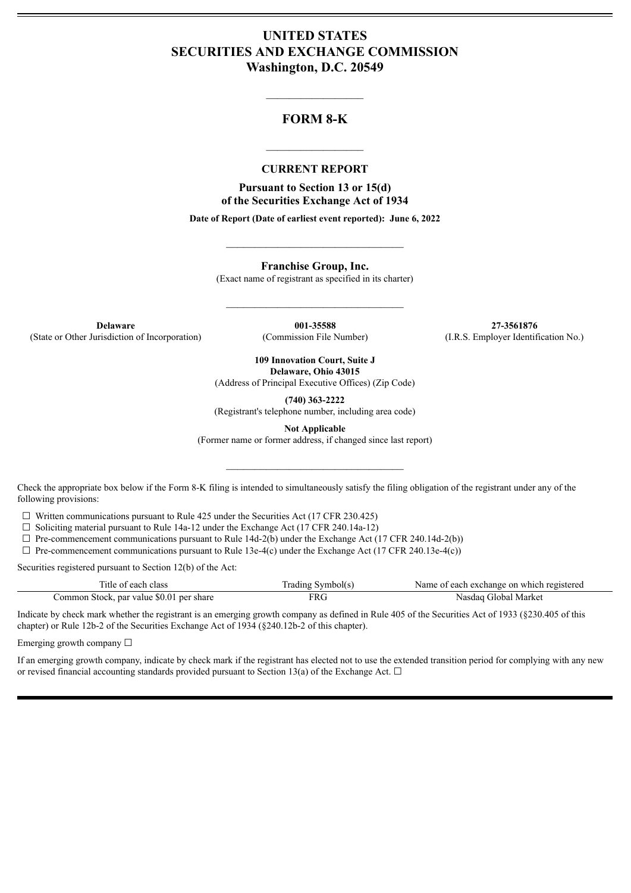# **UNITED STATES SECURITIES AND EXCHANGE COMMISSION Washington, D.C. 20549**

## **FORM 8-K**

 $\mathcal{L}=\mathcal{L}^{\mathcal{L}}$  , we have the set of the set of the set of the set of the set of the set of the set of the set of the set of the set of the set of the set of the set of the set of the set of the set of the set of th

#### **CURRENT REPORT**

 $\frac{1}{2}$  ,  $\frac{1}{2}$  ,  $\frac{1}{2}$  ,  $\frac{1}{2}$  ,  $\frac{1}{2}$  ,  $\frac{1}{2}$  ,  $\frac{1}{2}$ 

**Pursuant to Section 13 or 15(d) of the Securities Exchange Act of 1934**

**Date of Report (Date of earliest event reported): June 6, 2022**

**Franchise Group, Inc.**

(Exact name of registrant as specified in its charter)

 $\mathcal{L}_\text{max}$  and  $\mathcal{L}_\text{max}$  and  $\mathcal{L}_\text{max}$ 

 $\_$ 

**Delaware 001-35588 27-3561876** (State or Other Jurisdiction of Incorporation) (Commission File Number) (I.R.S. Employer Identification No.)

**109 Innovation Court, Suite J Delaware, Ohio 43015**

(Address of Principal Executive Offices) (Zip Code)

**(740) 363-2222**

(Registrant's telephone number, including area code)

**Not Applicable**

(Former name or former address, if changed since last report)

 $\mathcal{L}_\text{max}$  and  $\mathcal{L}_\text{max}$  and  $\mathcal{L}_\text{max}$ 

Check the appropriate box below if the Form 8-K filing is intended to simultaneously satisfy the filing obligation of the registrant under any of the following provisions:

 $\Box$  Written communications pursuant to Rule 425 under the Securities Act (17 CFR 230.425)

 $\Box$  Soliciting material pursuant to Rule 14a-12 under the Exchange Act (17 CFR 240.14a-12)

 $\Box$  Pre-commencement communications pursuant to Rule 14d-2(b) under the Exchange Act (17 CFR 240.14d-2(b))

 $\Box$  Pre-commencement communications pursuant to Rule 13e-4(c) under the Exchange Act (17 CFR 240.13e-4(c))

Securities registered pursuant to Section 12(b) of the Act:

| Title of each class                      | Trading Symbol(s) | Name of each exchange on which registered |
|------------------------------------------|-------------------|-------------------------------------------|
| Common Stock, par value \$0.01 per share | 7RG               | Nasdag Global Market                      |

Indicate by check mark whether the registrant is an emerging growth company as defined in Rule 405 of the Securities Act of 1933 (§230.405 of this chapter) or Rule 12b-2 of the Securities Exchange Act of 1934 (§240.12b-2 of this chapter).

Emerging growth company  $\Box$ 

If an emerging growth company, indicate by check mark if the registrant has elected not to use the extended transition period for complying with any new or revised financial accounting standards provided pursuant to Section 13(a) of the Exchange Act.  $\Box$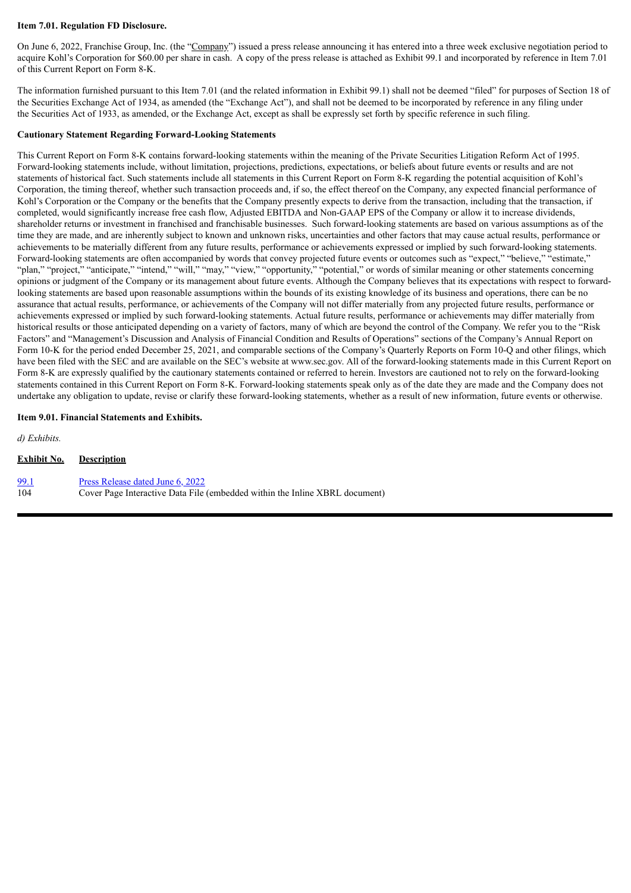#### **Item 7.01. Regulation FD Disclosure.**

On June 6, 2022, Franchise Group, Inc. (the "Company") issued a press release announcing it has entered into a three week exclusive negotiation period to acquire Kohl's Corporation for \$60.00 per share in cash. A copy of the press release is attached as Exhibit 99.1 and incorporated by reference in Item 7.01 of this Current Report on Form 8-K.

The information furnished pursuant to this Item 7.01 (and the related information in Exhibit 99.1) shall not be deemed "filed" for purposes of Section 18 of the Securities Exchange Act of 1934, as amended (the "Exchange Act"), and shall not be deemed to be incorporated by reference in any filing under the Securities Act of 1933, as amended, or the Exchange Act, except as shall be expressly set forth by specific reference in such filing.

#### **Cautionary Statement Regarding Forward-Looking Statements**

This Current Report on Form 8-K contains forward-looking statements within the meaning of the Private Securities Litigation Reform Act of 1995. Forward-looking statements include, without limitation, projections, predictions, expectations, or beliefs about future events or results and are not statements of historical fact. Such statements include all statements in this Current Report on Form 8-K regarding the potential acquisition of Kohl's Corporation, the timing thereof, whether such transaction proceeds and, if so, the effect thereof on the Company, any expected financial performance of Kohl's Corporation or the Company or the benefits that the Company presently expects to derive from the transaction, including that the transaction, if completed, would significantly increase free cash flow, Adjusted EBITDA and Non-GAAP EPS of the Company or allow it to increase dividends, shareholder returns or investment in franchised and franchisable businesses. Such forward-looking statements are based on various assumptions as of the time they are made, and are inherently subject to known and unknown risks, uncertainties and other factors that may cause actual results, performance or achievements to be materially different from any future results, performance or achievements expressed or implied by such forward-looking statements. Forward-looking statements are often accompanied by words that convey projected future events or outcomes such as "expect," "believe," "estimate," "plan," "project," "anticipate," "intend," "will," "may," "view," "opportunity," "potential," or words of similar meaning or other statements concerning opinions or judgment of the Company or its management about future events. Although the Company believes that its expectations with respect to forwardlooking statements are based upon reasonable assumptions within the bounds of its existing knowledge of its business and operations, there can be no assurance that actual results, performance, or achievements of the Company will not differ materially from any projected future results, performance or achievements expressed or implied by such forward-looking statements. Actual future results, performance or achievements may differ materially from historical results or those anticipated depending on a variety of factors, many of which are beyond the control of the Company. We refer you to the "Risk Factors" and "Management's Discussion and Analysis of Financial Condition and Results of Operations" sections of the Company's Annual Report on Form 10-K for the period ended December 25, 2021, and comparable sections of the Company's Quarterly Reports on Form 10-Q and other filings, which have been filed with the SEC and are available on the SEC's website at www.sec.gov. All of the forward-looking statements made in this Current Report on Form 8-K are expressly qualified by the cautionary statements contained or referred to herein. Investors are cautioned not to rely on the forward-looking statements contained in this Current Report on Form 8-K. Forward-looking statements speak only as of the date they are made and the Company does not undertake any obligation to update, revise or clarify these forward-looking statements, whether as a result of new information, future events or otherwise.

#### **Item 9.01. Financial Statements and Exhibits.**

| d) Exhibits. |                                                                             |
|--------------|-----------------------------------------------------------------------------|
| Exhibit No.  | <b>Description</b>                                                          |
| 99.1         | Press Release dated June 6, 2022                                            |
| 104          | Cover Page Interactive Data File (embedded within the Inline XBRL document) |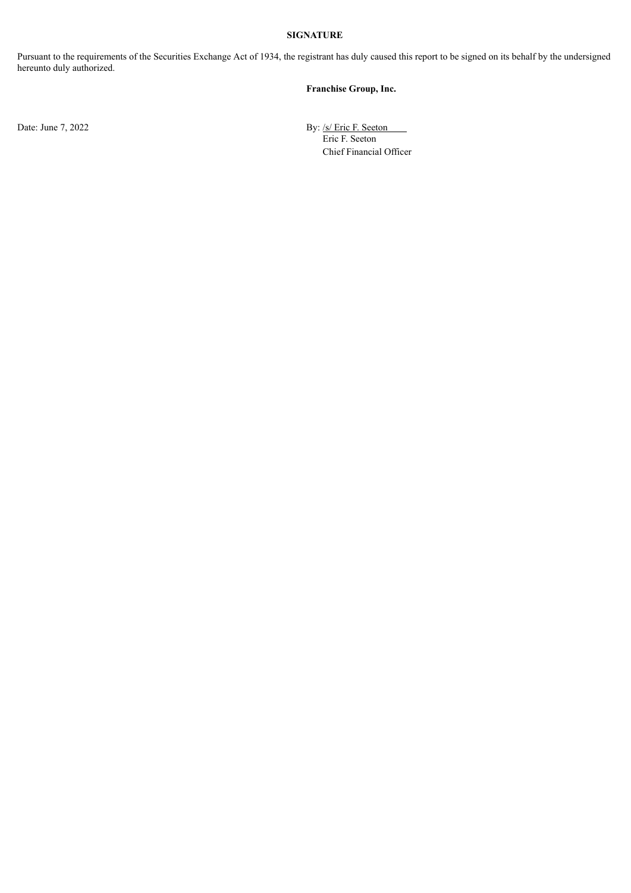### **SIGNATURE**

Pursuant to the requirements of the Securities Exchange Act of 1934, the registrant has duly caused this report to be signed on its behalf by the undersigned hereunto duly authorized.

### **Franchise Group, Inc.**

Date: June 7, 2022 By: /s/ Eric F. Seeton Eric F. Seeton Chief Financial Officer